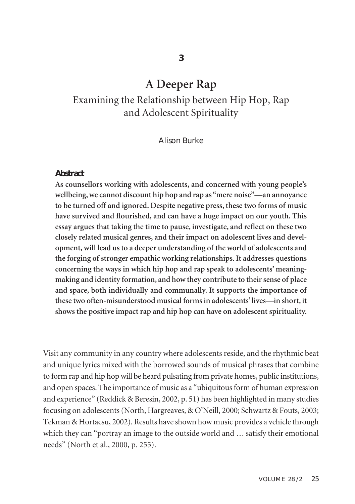# **A Deeper Rap**

Examining the Relationship between Hip Hop, Rap and Adolescent Spirituality

# Alison Burke

#### **Abstract**

**As counsellors working with adolescents, and concerned with young people's wellbeing,we cannot discount hip hop and rap as "mere noise"—an annoyance to be turned off and ignored. Despite negative press, these two forms of music have survived and flourished, and can have a huge impact on our youth. This essay argues that taking the time to pause, investigate, and reflect on these two closely related musical genres, and their impact on adolescent lives and development, will lead usto a deeper understanding of the world of adolescents and the forging of stronger empathic working relationships.It addresses questions concerning the ways in which hip hop and rap speak to adolescents' meaningmaking and identity formation, and how they contribute to theirsense of place and space, both individually and communally. It supports the importance of these two often-misunderstood musical formsin adolescents'lives—in short, it shows the positive impact rap and hip hop can have on adolescent spirituality.**

Visit any community in any country where adolescents reside, and the rhythmic beat and unique lyrics mixed with the borrowed sounds of musical phrases that combine to form rap and hip hopwill be heard pulsating from private homes, public institutions, and open spaces. The importance of music as a "ubiquitousform of human expression and experience" (Reddick & Beresin, 2002, p. 51) has been highlighted in many studies focusing on adolescents(North, Hargreaves, & O'Neill, 2000; Schwartz & Fouts, 2003; Tekman & Hortacsu, 2002). Results have shown how music provides a vehicle through which they can "portray an image to the outside world and … satisfy their emotional needs" (North et al., 2000, p. 255).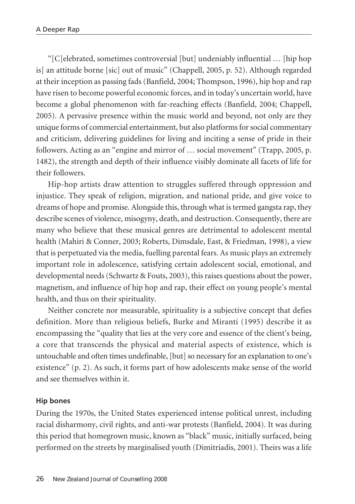"[C]elebrated, sometimes controversial [but] undeniably influential … [hip hop is] an attitude borne [sic] out of music" (Chappell, 2005, p. 52). Although regarded at their inception as passing fads (Banfield, 2004; Thompson, 1996), hip hop and rap have risen to become powerful economic forces, and in today's uncertain world, have become a global phenomenon with far-reaching effects (Banfield, 2004; Chappell, 2005). A pervasive presence within the music world and beyond, not only are they unique forms of commercial entertainment, but also platforms for social commentary and criticism, delivering guidelines for living and inciting a sense of pride in their followers. Acting as an "engine and mirror of … social movement" (Trapp, 2005, p. 1482), the strength and depth of their influence visibly dominate all facets of life for their followers.

Hip-hop artists draw attention to struggles suffered through oppression and injustice. They speak of religion, migration, and national pride, and give voice to dreams of hope and promise. Alongside this, through what is termed gangsta rap, they describe scenes of violence, misogyny, death, and destruction. Consequently, there are many who believe that these musical genres are detrimental to adolescent mental health (Mahiri & Conner, 2003; Roberts, Dimsdale, East, & Friedman, 1998), a view that is perpetuated via the media, fuelling parental fears. As music plays an extremely important role in adolescence, satisfying certain adolescent social, emotional, and developmental needs(Schwartz & Fouts, 2003), thisraises questions about the power, magnetism, and influence of hip hop and rap, their effect on young people's mental health, and thus on their spirituality.

Neither concrete nor measurable, spirituality is a subjective concept that defies definition. More than religious beliefs, Burke and Miranti (1995) describe it as encompassing the "quality that lies at the very core and essence of the client's being, a core that transcends the physical and material aspects of existence, which is untouchable and often times undefinable, [but] so necessary for an explanation to one's existence" (p. 2). As such, it forms part of how adolescents make sense of the world and see themselves within it.

# **Hip bones**

During the 1970s, the United States experienced intense political unrest, including racial disharmony, civil rights, and anti-war protests (Banfield, 2004). It was during this period that homegrown music, known as "black" music, initially surfaced, being performed on the streets by marginalised youth (Dimitriadis, 2001). Theirs was a life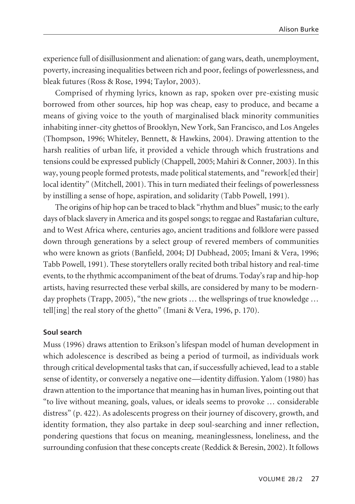experience full of disillusionment and alienation: of gang wars, death, unemployment, poverty, increasing inequalities between rich and poor, feelings of powerlessness, and bleak futures (Ross & Rose, 1994; Taylor, 2003).

Comprised of rhyming lyrics, known as rap, spoken over pre-existing music borrowed from other sources, hip hop was cheap, easy to produce, and became a means of giving voice to the youth of marginalised black minority communities inhabiting inner-city ghettos of Brooklyn, New York, San Francisco, and Los Angeles (Thompson, 1996; Whiteley, Bennett, & Hawkins, 2004). Drawing attention to the harsh realities of urban life, it provided a vehicle through which frustrations and tensions could be expressed publicly (Chappell, 2005; Mahiri & Conner, 2003). In this way, young people formed protests, made political statements, and "rework[ed their] local identity" (Mitchell, 2001). This in turn mediated their feelings of powerlessness by instilling a sense of hope, aspiration, and solidarity (Tabb Powell, 1991).

The origins of hip hop can be traced to black "rhythm and blues" music; to the early days of black slavery in America and its gospelsongs; to reggae and Rastafarian culture, and to West Africa where, centuries ago, ancient traditions and folklore were passed down through generations by a select group of revered members of communities who were known as griots (Banfield, 2004; DJ Dubhead, 2005; Imani & Vera, 1996; Tabb Powell, 1991). These storytellers orally recited both tribal history and real-time events, to the rhythmic accompaniment of the beat of drums. Today's rap and hip-hop artists, having resurrected these verbal skills, are considered by many to be modernday prophets (Trapp, 2005), "the new griots … the wellsprings of true knowledge … tell[ing] the real story of the ghetto" (Imani & Vera, 1996, p. 170).

# **Soul search**

Muss (1996) draws attention to Erikson's lifespan model of human development in which adolescence is described as being a period of turmoil, as individuals work through critical developmental tasks that can, if successfully achieved, lead to a stable sense of identity, or conversely a negative one—identity diffusion. Yalom (1980) has drawn attention to the importance that meaning has in human lives, pointing out that "to live without meaning, goals, values, or ideals seems to provoke … considerable distress" (p. 422). As adolescents progress on their journey of discovery, growth, and identity formation, they also partake in deep soul-searching and inner reflection, pondering questions that focus on meaning, meaninglessness, loneliness, and the surrounding confusion that these concepts create (Reddick & Beresin, 2002). It follows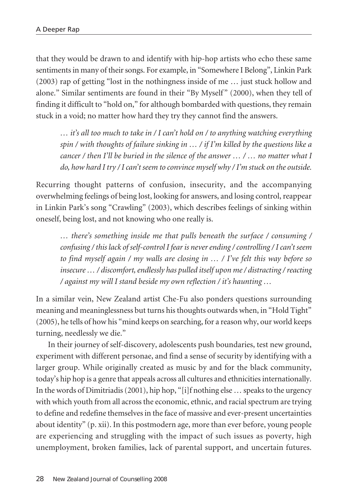that they would be drawn to and identify with hip-hop artists who echo these same sentiments in many of their songs. For example, in "Somewhere I Belong", Linkin Park (2003) rap of getting "lost in the nothingness inside of me … just stuck hollow and alone." Similar sentiments are found in their "By Myself " (2000), when they tell of finding it difficult to "hold on," for although bombarded with questions, they remain stuck in a void; no matter how hard they try they cannot find the answers.

*… it's all too much to take in / I can't hold on / to anything watching everything spin / with thoughts of failure sinking in … / if I'm killed by the questions like a cancer / then I'll be buried in the silence of the answer … / … no matter what I do, how hard I try / I can't seem to convince myself why / I'm stuck on the outside.*

Recurring thought patterns of confusion, insecurity, and the accompanying overwhelming feelings of being lost, looking for answers, and losing control,reappear in Linkin Park's song "Crawling" (2003), which describes feelings of sinking within oneself, being lost, and not knowing who one really is.

*… there's something inside me that pulls beneath the surface / consuming / confusing / this lack of self-control I fear is neverending / controlling / I can't seem to find myself again / my walls are closing in … / I've felt this way before so insecure* ... / *discomfort, endlessly has pulled itself upon me / distracting* / *reacting / against my will I stand beside my own reflection / it's haunting …*

In a similar vein, New Zealand artist Che-Fu also ponders questions surrounding meaning and meaninglessness but turns his thoughts outwards when, in "Hold Tight" (2005), he tells of how his "mind keeps on searching, for a reason why, our world keeps turning, needlessly we die."

In their journey of self-discovery, adolescents push boundaries, test new ground, experiment with different personae, and find a sense of security by identifying with a larger group. While originally created as music by and for the black community, today's hip hop is a genre that appeals across all cultures and ethnicities internationally. In the words of Dimitriadis (2001), hip hop, "[i]f nothing else  $\ldots$  speaks to the urgency with which youth from all across the economic, ethnic, and racial spectrum are trying to define and redefine themselves in the face of massive and ever-present uncertainties about identity" (p. xii). In this postmodern age, more than ever before, young people are experiencing and struggling with the impact of such issues as poverty, high unemployment, broken families, lack of parental support, and uncertain futures.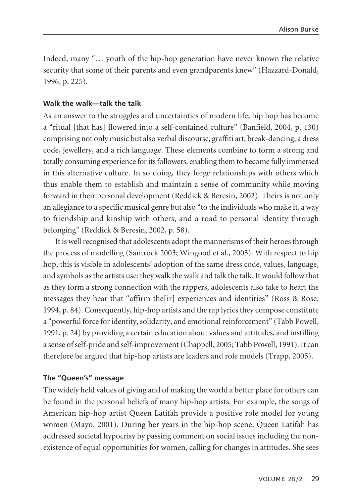Indeed, many "… youth of the hip-hop generation have never known the relative security that some of their parents and even grandparents knew" (Hazzard-Donald, 1996, p. 225).

#### **Walk the walk—talk the talk**

As an answer to the struggles and uncertainties of modern life, hip hop has become a "ritual [that has] flowered into a self-contained culture" (Banfield, 2004, p. 130) comprising not only music but also verbal discourse, graffiti art, break-dancing, a dress code, jewellery, and a rich language. These elements combine to form a strong and totally consuming experience foritsfollowers, enabling them to become fully immersed in this alternative culture. In so doing, they forge relationships with others which thus enable them to establish and maintain a sense of community while moving forward in their personal development (Reddick & Beresin, 2002). Theirs is not only an allegiance to a specific musical genre but also "to the individuals who make it, a way to friendship and kinship with others, and a road to personal identity through belonging" (Reddick & Beresin, 2002, p. 58).

It is well recognised that adolescents adopt the mannerisms of their heroes through the process of modelling (Santrock 2003; Wingood et al., 2003). With respect to hip hop, this is visible in adolescents' adoption of the same dress code, values, language, and symbols as the artists use: they walk the walk and talk the talk. It would follow that as they form a strong connection with the rappers, adolescents also take to heart the messages they hear that "affirm the[ir] experiences and identities" (Ross & Rose, 1994, p. 84). Consequently, hip-hop artists and the rap lyrics they compose constitute a "powerful force for identity, solidarity, and emotional reinforcement" (Tabb Powell, 1991, p. 24) by providing a certain education about values and attitudes, and instilling a sense ofself-pride and self-improvement(Chappell, 2005; Tabb Powell, 1991). It can therefore be argued that hip-hop artists are leaders and role models (Trapp, 2005).

#### **The "Queen's" message**

The widely held values of giving and of making the world a better place for others can be found in the personal beliefs of many hip-hop artists. For example, the songs of American hip-hop artist Queen Latifah provide a positive role model for young women (Mayo, 2001). During her years in the hip-hop scene, Queen Latifah has addressed societal hypocrisy by passing comment on social issues including the nonexistence of equal opportunities for women, calling for changes in attitudes. She sees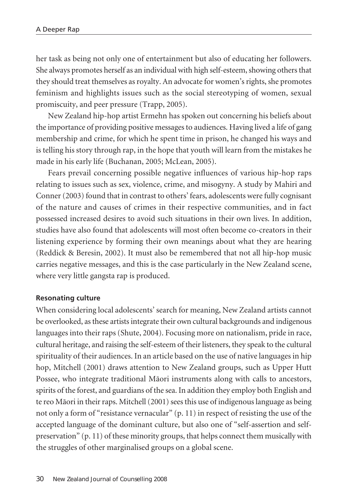her task as being not only one of entertainment but also of educating her followers. She always promotes herself as an individual with high self-esteem, showing others that they should treat themselves asroyalty. An advocate for women'srights, she promotes feminism and highlights issues such as the social stereotyping of women, sexual promiscuity, and peer pressure (Trapp, 2005).

New Zealand hip-hop artist Ermehn has spoken out concerning his beliefs about the importance of providing positive messagesto audiences. Having lived a life of gang membership and crime, for which he spent time in prison, he changed his ways and is telling his story through rap, in the hope that youth will learn from the mistakes he made in his early life (Buchanan, 2005; McLean, 2005).

Fears prevail concerning possible negative influences of various hip-hop raps relating to issues such as sex, violence, crime, and misogyny. A study by Mahiri and Conner (2003) found that in contrast to others' fears, adolescents were fully cognisant of the nature and causes of crimes in their respective communities, and in fact possessed increased desires to avoid such situations in their own lives. In addition, studies have also found that adolescents will most often become co-creators in their listening experience by forming their own meanings about what they are hearing (Reddick & Beresin, 2002). It must also be remembered that not all hip-hop music carries negative messages, and this is the case particularly in the New Zealand scene, where very little gangsta rap is produced.

# **Resonating culture**

When considering local adolescents' search for meaning, New Zealand artists cannot be overlooked, asthese artistsintegrate their own cultural backgrounds and indigenous languages into their raps (Shute, 2004). Focusing more on nationalism, pride in race, cultural heritage, and raising the self-esteem of their listeners, they speak to the cultural spirituality of their audiences. In an article based on the use of native languages in hip hop, Mitchell (2001) draws attention to New Zealand groups, such as Upper Hutt Possee, who integrate traditional Mäori instruments along with calls to ancestors, spirits of the forest, and guardians of the sea. In addition they employ both English and te reo Māori in their raps. Mitchell (2001) sees this use of indigenous language as being not only a form of "resistance vernacular" (p. 11) in respect of resisting the use of the accepted language of the dominant culture, but also one of "self-assertion and selfpreservation" (p. 11) of these minority groups, that helps connect them musically with the struggles of other marginalised groups on a global scene.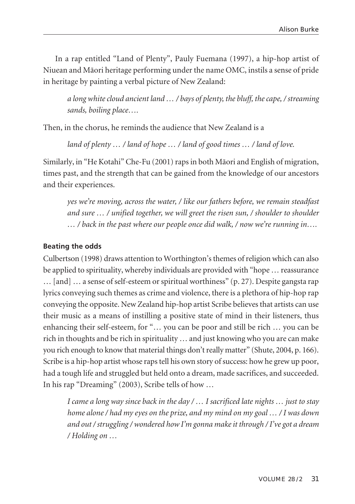In a rap entitled "Land of Plenty", Pauly Fuemana (1997), a hip-hop artist of Niuean and Mäori heritage performing under the name OMC, instils a sense of pride in heritage by painting a verbal picture of New Zealand:

*a long whitecloud ancient land … / bays of plenty, the bluff, thecape, / streaming sands, boiling place….*

Then, in the chorus, he reminds the audience that New Zealand is a

*land of plenty … / land of hope … / land of good times … / land of love.*

Similarly, in "He Kotahi" Che-Fu (2001) raps in both Māori and English of migration, times past, and the strength that can be gained from the knowledge of our ancestors and their experiences.

*yes we're moving, across the water, / like our fathers before, we remain steadfast and sure … / unified together, we will greet the risen sun, / shoulder to shoulder … / back in the past where our people once did walk, / now we're running in….*

#### **Beating the odds**

Culbertson (1998) draws attention to Worthington'sthemes ofreligion which can also be applied to spirituality, whereby individuals are provided with "hope … reassurance … [and] … a sense of self-esteem orspiritual worthiness" (p. 27). Despite gangsta rap lyrics conveying such themes as crime and violence, there is a plethora of hip-hop rap conveying the opposite. New Zealand hip-hop artist Scribe believes that artists can use their music as a means of instilling a positive state of mind in their listeners, thus enhancing their self-esteem, for "… you can be poor and still be rich … you can be rich in thoughts and be rich in spirituality … and just knowing who you are can make you rich enough to know that material things don't really matter" (Shute, 2004, p. 166). Scribe is a hip-hop artist whose raps tell his own story of success: how he grew up poor, had a tough life and struggled but held onto a dream, made sacrifices, and succeeded. In his rap "Dreaming" (2003), Scribe tells of how …

*I came a long way since back in the day / … I sacrificed late nights … just to stay home alone / had my eyes on the prize, and my mind on my goal … / I was down and out / struggling / wondered how I'm gonna makeit through / I've got a dream / Holding on …*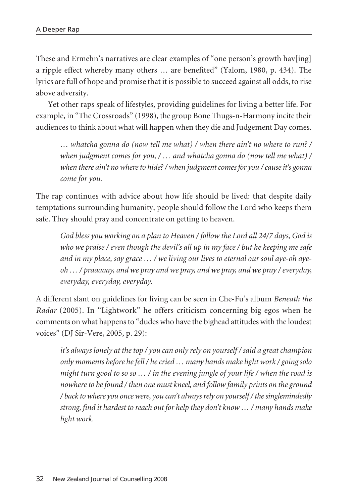These and Ermehn's narratives are clear examples of "one person's growth hav $\lceil \text{ing} \rceil$ a ripple effect whereby many others … are benefited" (Yalom, 1980, p. 434). The lyrics are full of hope and promise that it is possible to succeed against all odds, to rise above adversity.

Yet other raps speak of lifestyles, providing guidelines for living a better life. For example, in "The Crossroads" (1998), the group Bone Thugs-n-Harmony incite their audiences to think about what will happen when they die and Judgement Day comes.

*… whatcha gonna do (now tell me what) / when there ain't no where to run? / when judgment comes for you, / … and whatcha gonna do (now tell me what) / when there ain't no whereto hide? / when judgmentcomes for you /causeit's gonna come for you.*

The rap continues with advice about how life should be lived: that despite daily temptations surrounding humanity, people should follow the Lord who keeps them safe. They should pray and concentrate on getting to heaven.

*God bless you working on a plan to Heaven / follow the Lord all 24/7 days, God is who we praise / even though the devil's all up in my face / but he keeping me safe and in my place, say grace … / we living our lives to eternal our soul aye-oh ayeoh … / praaaaay, and we pray and we pray, and we pray, and we pray /everyday, everyday, everyday, everyday.*

A different slant on guidelines for living can be seen in Che-Fu's album *Beneath the Radar* (2005). In "Lightwork" he offers criticism concerning big egos when he comments on what happensto "dudes who have the bighead attitudes with the loudest voices" (DJ Sir-Vere, 2005, p. 29):

*it's always lonely at thetop / you can only rely on yourself / said a great champion only moments before hefell / hecried … many hands makelight work / going solo might turn good to so so … / in the evening jungle of your life / when the road is nowhereto befound / then one must kneel, and follow family prints on the ground / back to where you once were, you can't alwaysrely on yourself / thesinglemindedly strong, find it hardest to reach out for help they don't know … / many hands make light work.*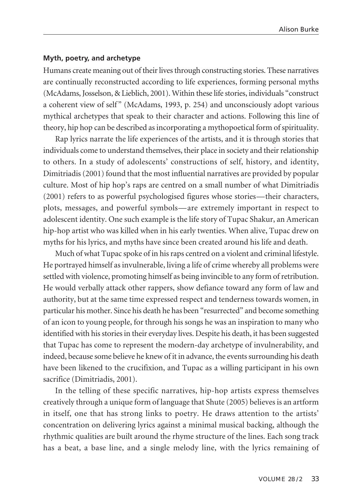# **Myth, poetry, and archetype**

Humans create meaning out of their lives through constructing stories. These narratives are continually reconstructed according to life experiences, forming personal myths (McAdams, Josselson, & Lieblich, 2001). Within these life stories, individuals "construct a coherent view of self" (McAdams, 1993, p. 254) and unconsciously adopt various mythical archetypes that speak to their character and actions. Following this line of theory, hip hop can be described as incorporating a mythopoetical form of spirituality.

Rap lyrics narrate the life experiences of the artists, and it is through stories that individuals come to understand themselves, their place in society and their relationship to others. In a study of adolescents' constructions of self, history, and identity, Dimitriadis (2001) found that the most influential narratives are provided by popular culture. Most of hip hop's raps are centred on a small number of what Dimitriadis (2001) refers to as powerful psychologised figures whose stories—their characters, plots, messages, and powerful symbols—are extremely important in respect to adolescent identity. One such example is the life story of Tupac Shakur, an American hip-hop artist who was killed when in his early twenties. When alive, Tupac drew on myths for his lyrics, and myths have since been created around his life and death.

Much of what Tupac spoke of in hisraps centred on a violent and criminal lifestyle. He portrayed himself as invulnerable, living a life of crime whereby all problems were settled with violence, promoting himself as being invincible to any form ofretribution. He would verbally attack other rappers, show defiance toward any form of law and authority, but at the same time expressed respect and tenderness towards women, in particular his mother. Since his death he has been "resurrected" and become something of an icon to young people, for through his songs he was an inspiration to many who identified with his stories in their everyday lives. Despite his death, it has been suggested that Tupac has come to represent the modern-day archetype of invulnerability, and indeed, because some believe he knew of it in advance, the eventssurrounding his death have been likened to the crucifixion, and Tupac as a willing participant in his own sacrifice (Dimitriadis, 2001).

In the telling of these specific narratives, hip-hop artists express themselves creatively through a unique form of language that Shute (2005) believes is an artform in itself, one that has strong links to poetry. He draws attention to the artists' concentration on delivering lyrics against a minimal musical backing, although the rhythmic qualities are built around the rhyme structure of the lines. Each song track has a beat, a base line, and a single melody line, with the lyrics remaining of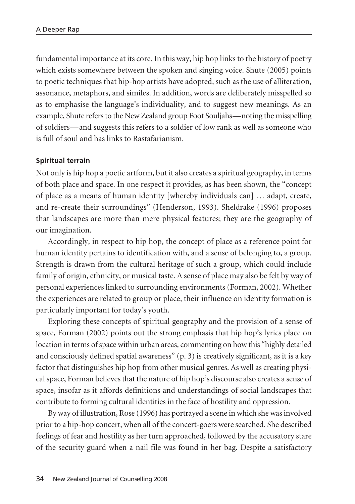fundamental importance at its core. In this way, hip hop links to the history of poetry which exists somewhere between the spoken and singing voice. Shute (2005) points to poetic techniques that hip-hop artists have adopted, such as the use of alliteration, assonance, metaphors, and similes. In addition, words are deliberately misspelled so as to emphasise the language's individuality, and to suggest new meanings. As an example, Shute refersto the New Zealand group Foot Souljahs—noting the misspelling of soldiers—and suggests this refers to a soldier of low rank as well as someone who is full of soul and has links to Rastafarianism.

# **Spiritual terrain**

Not only is hip hop a poetic artform, but it also creates a spiritual geography, in terms of both place and space. In one respect it provides, as has been shown, the "concept of place as a means of human identity [whereby individuals can] … adapt, create, and re-create their surroundings" (Henderson, 1993). Sheldrake (1996) proposes that landscapes are more than mere physical features; they are the geography of our imagination.

Accordingly, in respect to hip hop, the concept of place as a reference point for human identity pertains to identification with, and a sense of belonging to, a group. Strength is drawn from the cultural heritage of such a group, which could include family of origin, ethnicity, or musical taste. A sense of place may also be felt by way of personal experiences linked to surrounding environments (Forman, 2002). Whether the experiences are related to group or place, their influence on identity formation is particularly important for today's youth.

Exploring these concepts of spiritual geography and the provision of a sense of space, Forman (2002) points out the strong emphasis that hip hop's lyrics place on location in terms of space within urban areas, commenting on how this "highly detailed and consciously defined spatial awareness" (p. 3) is creatively significant, as it is a key factor that distinguishes hip hop from other musical genres. As well as creating physical space, Forman believes that the nature of hip hop's discourse also creates a sense of space, insofar as it affords definitions and understandings of social landscapes that contribute to forming cultural identities in the face of hostility and oppression.

By way of illustration, Rose (1996) has portrayed a scene in which she was involved prior to a hip-hop concert, when all of the concert-goers were searched. She described feelings of fear and hostility as her turn approached, followed by the accusatory stare of the security guard when a nail file was found in her bag. Despite a satisfactory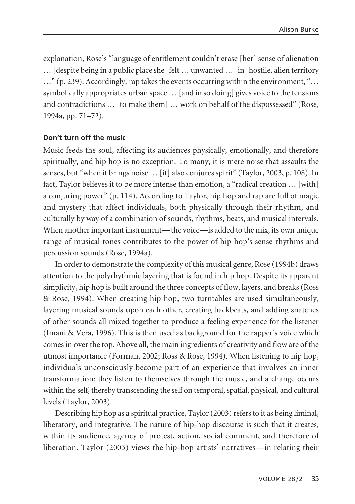explanation, Rose's "language of entitlement couldn't erase [her] sense of alienation ... [despite being in a public place she] felt ... unwanted ... [in] hostile, alien territory …" (p. 239). Accordingly,rap takes the events occurring within the environment, "… symbolically appropriates urban space … [and in so doing] gives voice to the tensions and contradictions … [to make them] … work on behalf of the dispossessed" (Rose, 1994a, pp. 71–72).

# **Don't turn off the music**

Music feeds the soul, affecting its audiences physically, emotionally, and therefore spiritually, and hip hop is no exception. To many, it is mere noise that assaults the senses, but "when it brings noise … [it] also conjures spirit" (Taylor, 2003, p. 108). In fact, Taylor believes it to be more intense than emotion, a "radical creation … [with] a conjuring power" (p. 114). According to Taylor, hip hop and rap are full of magic and mystery that affect individuals, both physically through their rhythm, and culturally by way of a combination of sounds, rhythms, beats, and musical intervals. When another important instrument—the voice—is added to the mix, its own unique range of musical tones contributes to the power of hip hop's sense rhythms and percussion sounds (Rose, 1994a).

In order to demonstrate the complexity of this musical genre, Rose (1994b) draws attention to the polyrhythmic layering that is found in hip hop. Despite its apparent simplicity, hip hop is built around the three concepts of flow, layers, and breaks (Ross & Rose, 1994). When creating hip hop, two turntables are used simultaneously, layering musical sounds upon each other, creating backbeats, and adding snatches of other sounds all mixed together to produce a feeling experience for the listener (Imani & Vera, 1996). This is then used as background for the rapper's voice which comes in overthe top. Above all, the main ingredients of creativity and flow are of the utmost importance (Forman, 2002; Ross & Rose, 1994). When listening to hip hop, individuals unconsciously become part of an experience that involves an inner transformation: they listen to themselves through the music, and a change occurs within the self, thereby transcending the self on temporal, spatial, physical, and cultural levels (Taylor, 2003).

Describing hip hop as a spiritual practice, Taylor (2003) refers to it as being liminal, liberatory, and integrative. The nature of hip-hop discourse is such that it creates, within its audience, agency of protest, action, social comment, and therefore of liberation. Taylor (2003) views the hip-hop artists' narratives—in relating their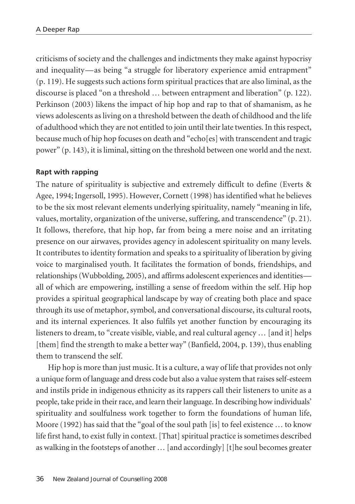criticisms of society and the challenges and indictments they make against hypocrisy and inequality—as being "a struggle for liberatory experience amid entrapment" (p. 119). He suggests such actions form spiritual practices that are also liminal, as the discourse is placed "on a threshold … between entrapment and liberation" (p. 122). Perkinson (2003) likens the impact of hip hop and rap to that of shamanism, as he views adolescents as living on a threshold between the death of childhood and the life of adulthood which they are not entitled to join until theirlate twenties. In thisrespect, because much of hip hop focuses on death and "echo[es] with transcendent and tragic power" (p. 143), it is liminal, sitting on the threshold between one world and the next.

# **Rapt with rapping**

The nature of spirituality is subjective and extremely difficult to define (Everts & Agee, 1994; Ingersoll, 1995). However, Cornett(1998) has identified what he believes to be the six most relevant elements underlying spirituality, namely "meaning in life, values, mortality, organization of the universe, suffering, and transcendence" (p. 21). It follows, therefore, that hip hop, far from being a mere noise and an irritating presence on our airwaves, provides agency in adolescent spirituality on many levels. It contributes to identity formation and speaks to a spirituality of liberation by giving voice to marginalised youth. It facilitates the formation of bonds, friendships, and relationships(Wubbolding, 2005), and affirms adolescent experiences and identities all of which are empowering, instilling a sense of freedom within the self. Hip hop provides a spiritual geographical landscape by way of creating both place and space through its use of metaphor, symbol, and conversational discourse, its cultural roots, and its internal experiences. It also fulfils yet another function by encouraging its listeners to dream, to "create visible, viable, and real cultural agency … [and it] helps [them] find the strength to make a better way" (Banfield, 2004, p. 139), thus enabling them to transcend the self.

Hip hop is more than just music. It is a culture, a way of life that provides not only a unique form of language and dress code but also a value system that raises self-esteem and instils pride in indigenous ethnicity as its rappers call their listeners to unite as a people, take pride in their race, and learn their language. In describing how individuals' spirituality and soulfulness work together to form the foundations of human life, Moore (1992) has said that the "goal of the soul path [is] to feel existence … to know life first hand, to exist fully in context. [That] spiritual practice is sometimes described as walking in the footsteps of another … [and accordingly][t]he soul becomes greater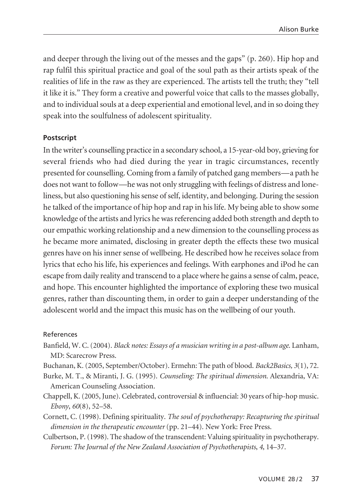and deeper through the living out of the messes and the gaps" (p. 260). Hip hop and rap fulfil this spiritual practice and goal of the soul path as their artists speak of the realities of life in the raw as they are experienced. The artists tell the truth; they "tell it like it is." They form a creative and powerful voice that calls to the masses globally, and to individual souls at a deep experiential and emotional level, and in so doing they speak into the soulfulness of adolescent spirituality.

# **Postscript**

In thewriter's counselling practice in a secondary school, a 15-year-old boy, grieving for several friends who had died during the year in tragic circumstances, recently presented for counselling. Coming from a family of patched gang members—a path he does not want to follow—he was not only struggling with feelings of distress and loneliness, but also questioning hissense ofself, identity, and belonging. During the session he talked of the importance of hip hop and rap in his life. My being able to show some knowledge of the artists and lyrics he wasreferencing added both strength and depth to our empathic working relationship and a new dimension to the counselling process as he became more animated, disclosing in greater depth the effects these two musical genres have on his inner sense of wellbeing. He described how he receives solace from lyrics that echo his life, his experiences and feelings. With earphones and iPod he can escape from daily reality and transcend to a place where he gains a sense of calm, peace, and hope. This encounter highlighted the importance of exploring these two musical genres, rather than discounting them, in order to gain a deeper understanding of the adolescent world and the impact this music has on the wellbeing of our youth.

#### References

- Banfield, W. C.(2004). *Black notes: Essays of a musician writing in a post-album age*. Lanham, MD: Scarecrow Press.
- Buchanan, K. (2005, September/October). Ermehn: The path of blood. *Back2Basics, 3*(1), 72.
- Burke, M. T., & Miranti, J. G. (1995). *Counseling: The spiritual dimension*. Alexandria, VA: American Counseling Association.
- Chappell, K.(2005, June). Celebrated, controversial & influencial: 30 years of hip-hop music. *Ebony*, *60*(8), 52–58.
- Cornett, C. (1998). Defining spirituality. *The soul of psychotherapy: Recapturing the spiritual dimension in the therapeutic encounter* (pp. 21–44). New York: Free Press.
- Culbertson, P.(1998). The shadow of the transcendent: Valuing spirituality in psychotherapy. *Forum: The Journal of the New Zealand Association of Psychotherapists*, *4*, 14–37.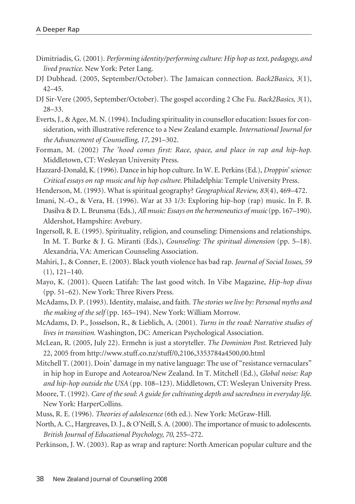- Dimitriadis, G.(2001). *Performing identity/performing culture: Hip hop as text, pedagogy, and lived practice*. New York: Peter Lang.
- DJ Dubhead. (2005, September/October). The Jamaican connection. *Back2Basics*, *3*(1), 42–45.
- DJ Sir-Vere (2005, September/October). The gospel according 2 Che Fu. *Back2Basics, 3*(1), 28–33.
- Everts, J., & Agee, M. N.(1994). Including spirituality in counsellor education: Issuesfor consideration, with illustrative reference to a New Zealand example. *International Journal for the Advancement of Counselling, 17,* 291–302.
- Forman, M. (2002) *The 'hood comes first: Race, space, and place in rap and hip-hop.* Middletown, CT: Wesleyan University Press.
- Hazzard-Donald, K.(1996). Dance in hip hop culture. In W. E. Perkins(Ed.), *Droppin' science: Critical essays on rap music and hip hop culture.* Philadelphia: Temple University Press.
- Henderson, M. (1993). What is spiritual geography? *Geographical Review, 83*(4), 469–472.
- Imani, N.-O., & Vera, H. (1996). War at 33 1/3: Exploring hip-hop (rap) music. In F. B. Dasilva & D. L. Brunsma (Eds.), *All music: Essays on the hermeneutics of music*(pp. 167–190). Aldershot, Hampshire: Avebury.
- Ingersoll, R. E. (1995). Spirituality, religion, and counseling: Dimensions and relationships. In M. T. Burke & J. G. Miranti (Eds.), *Counseling: The spiritual dimension* (pp. 5–18). Alexandria, VA: American Counseling Association.
- Mahiri, J., & Conner, E. (2003). Black youth violence has bad rap. *Journal of Social Issues*, *59* (1), 121–140.
- Mayo, K. (2001). Queen Latifah: The last good witch. In Vibe Magazine, *Hip-hop divas* (pp. 51–62). New York: Three Rivers Press.
- McAdams, D. P.(1993). Identity, malaise, and faith. *Thestories welive by: Personal myths and the making of the self* (pp. 165–194). New York: William Morrow.
- McAdams, D. P., Josselson, R., & Lieblich, A. (2001). *Turns in the road: Narrative studies of lives in transition.* Washington, DC: American Psychological Association.
- McLean, R. (2005, July 22). Ermehn is just a storyteller. *The Dominion Post*. Retrieved July 22, 2005 from http://www.stuff.co.nz/stuff/0,2106,3353784a4500,00.html
- Mitchell T. (2001). Doin' damage in my native language: The use of "resistance vernaculars" in hip hop in Europe and Aotearoa/New Zealand. In T. Mitchell (Ed.), *Global noise: Rap and hip-hop outside the USA* (pp. 108–123). Middletown, CT: Wesleyan University Press.
- Moore, T.(1992). *Care of thesoul*: *A guidefor cultivating depth and sacredness in everyday life*. New York: HarperCollins.
- Muss, R. E. (1996). *Theories of adolescence* (6th ed.). New York: McGraw-Hill.
- North, A. C., Hargreaves, D. J., & O'Neill, S. A.(2000). The importance of music to adolescents. *British Journal of Educational Psychology, 70*, 255–272.
- Perkinson, J. W. (2003). Rap as wrap and rapture: North American popular culture and the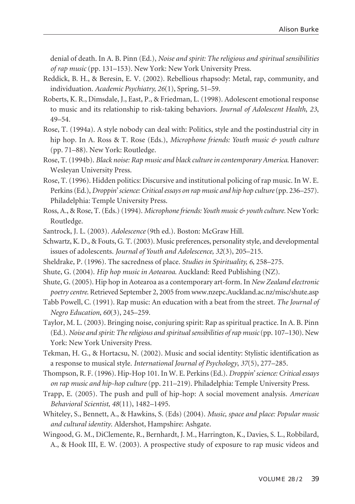denial of death. In A. B. Pinn (Ed.), *Noise and spirit: The religious and spiritual sensibilities of rap music* (pp. 131–153). New York: New York University Press.

- Reddick, B. H., & Beresin, E. V. (2002). Rebellious rhapsody: Metal, rap, community, and individuation. *Academic Psychiatry, 26*(1), Spring, 51–59.
- Roberts, K. R., Dimsdale, J., East, P., & Friedman, L. (1998). Adolescent emotional response to music and its relationship to risk-taking behaviors. *Journal of Adolescent Health*, *23*, 49–54.
- Rose, T. (1994a). A style nobody can deal with: Politics, style and the postindustrial city in hip hop. In A. Ross & T. Rose (Eds.), *Microphone friends: Youth music & youth culture* (pp. 71–88). New York: Routledge.
- Rose, T.(1994b). *Black noise: Rap music and black culturein contemporary America*. Hanover: Wesleyan University Press.
- Rose, T. (1996). Hidden politics: Discursive and institutional policing of rap music. In W. E. Perkins(Ed.), *Droppin'science: Criticalessays on rap music and hip hop culture*(pp. 236–257). Philadelphia: Temple University Press.
- Ross, A., & Rose, T.(Eds.)(1994). *Microphonefriends: Youth music & youth culture.* New York: Routledge.
- Santrock, J. L. (2003). *Adolescence* (9th ed.). Boston: McGraw Hill.
- Schwartz, K. D., & Fouts, G. T.(2003). Music preferences, personality style, and developmental issues of adolescents. *Journal of Youth and Adolescence, 32*(3), 205–215.
- Sheldrake, P. (1996). The sacredness of place. *Studies in Spirituality, 6*, 258–275.
- Shute, G. (2004). *Hip hop music in Aotearoa*. Auckland: Reed Publishing (NZ).
- Shute, G.(2005). Hip hop in Aotearoa as a contemporary art-form. In *New Zealand electronic poetry centre*. Retrieved September 2, 2005 from www.nzepc.Auckland.ac.nz/misc/shute.asp

Tabb Powell, C. (1991). Rap music: An education with a beat from the street. *The Journal of Negro Education*, *60*(3), 245–259.

- Taylor, M. L. (2003). Bringing noise, conjuring spirit: Rap as spiritual practice. In A. B. Pinn (Ed.). *Noise and spirit: Thereligious and spiritual sensibilities of rap music*(pp. 107–130). New York: New York University Press.
- Tekman, H. G., & Hortacsu, N. (2002). Music and social identity: Stylistic identification as a response to musical style. *International Journal of Psychology*, *37*(5), 277–285.
- Thompson, R. F.(1996). Hip-Hop 101. In W. E. Perkins(Ed.). *Droppin' science: Criticalessays on rap music and hip-hop culture* (pp. 211–219). Philadelphia: Temple University Press.
- Trapp, E. (2005). The push and pull of hip-hop: A social movement analysis. *American Behavioral Scientist, 48*(11), 1482–1495.
- Whiteley, S., Bennett, A., & Hawkins, S. (Eds) (2004). *Music, space and place: Popular music and cultural identity*. Aldershot, Hampshire: Ashgate.
- Wingood, G. M., DiClemente, R., Bernhardt, J. M., Harrington, K., Davies, S. L., Robbilard, A., & Hook III, E. W. (2003). A prospective study of exposure to rap music videos and